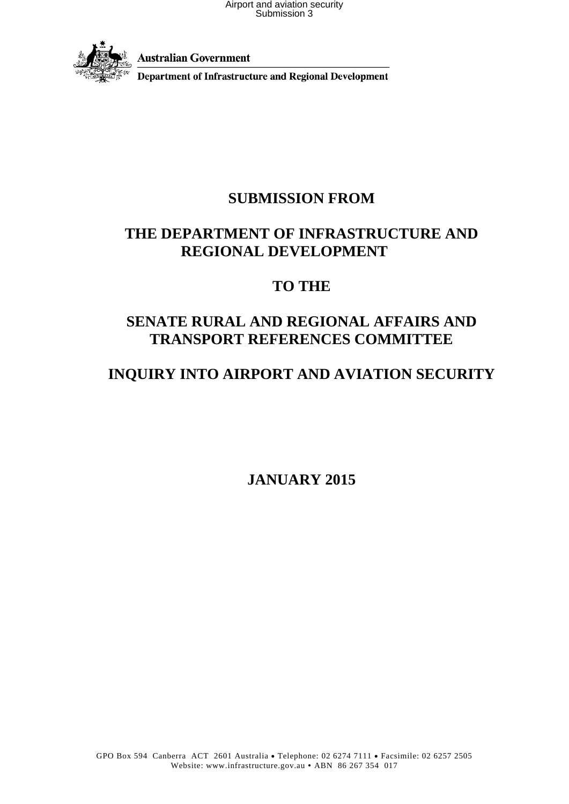

**Australian Government** 

**Department of Infrastructure and Regional Development** 

### **SUBMISSION FROM**

### **THE DEPARTMENT OF INFRASTRUCTURE AND REGIONAL DEVELOPMENT**

### **TO THE**

### **SENATE RURAL AND REGIONAL AFFAIRS AND TRANSPORT REFERENCES COMMITTEE**

### **INQUIRY INTO AIRPORT AND AVIATION SECURITY**

**JANUARY 2015**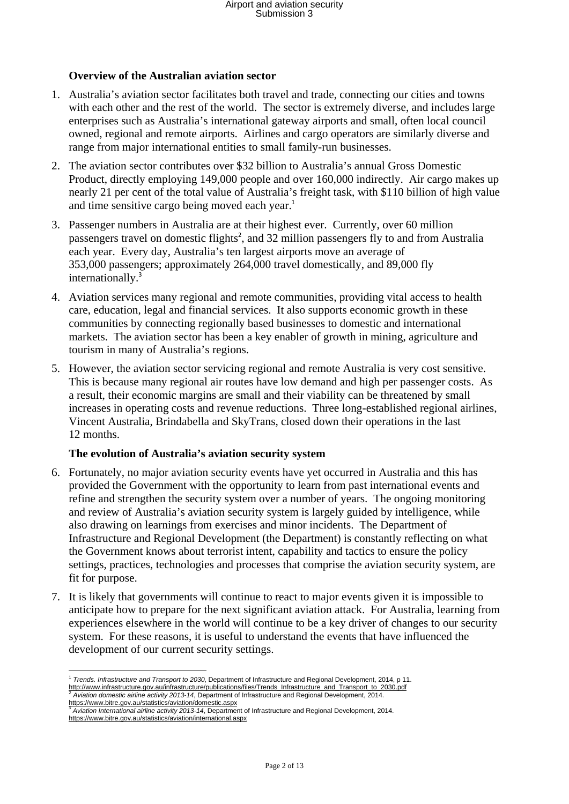### **Overview of the Australian aviation sector**

- 1. Australia's aviation sector facilitates both travel and trade, connecting our cities and towns with each other and the rest of the world. The sector is extremely diverse, and includes large enterprises such as Australia's international gateway airports and small, often local council owned, regional and remote airports. Airlines and cargo operators are similarly diverse and range from major international entities to small family-run businesses.
- 2. The aviation sector contributes over \$32 billion to Australia's annual Gross Domestic Product, directly employing 149,000 people and over 160,000 indirectly. Air cargo makes up nearly 21 per cent of the total value of Australia's freight task, with \$110 billion of high value and time sensitive cargo being moved each year.<sup>1</sup>
- 3. Passenger numbers in Australia are at their highest ever. Currently, over 60 million passengers travel on domestic flights<sup>2</sup>, and 32 million passengers fly to and from Australia each year. Every day, Australia's ten largest airports move an average of 353,000 passengers; approximately 264,000 travel domestically, and 89,000 fly internationally.<sup>3</sup>
- 4. Aviation services many regional and remote communities, providing vital access to health care, education, legal and financial services. It also supports economic growth in these communities by connecting regionally based businesses to domestic and international markets. The aviation sector has been a key enabler of growth in mining, agriculture and tourism in many of Australia's regions.
- 5. However, the aviation sector servicing regional and remote Australia is very cost sensitive. This is because many regional air routes have low demand and high per passenger costs. As a result, their economic margins are small and their viability can be threatened by small increases in operating costs and revenue reductions. Three long-established regional airlines, Vincent Australia, Brindabella and SkyTrans, closed down their operations in the last 12 months.

#### **The evolution of Australia's aviation security system**

- 6. Fortunately, no major aviation security events have yet occurred in Australia and this has provided the Government with the opportunity to learn from past international events and refine and strengthen the security system over a number of years. The ongoing monitoring and review of Australia's aviation security system is largely guided by intelligence, while also drawing on learnings from exercises and minor incidents. The Department of Infrastructure and Regional Development (the Department) is constantly reflecting on what the Government knows about terrorist intent, capability and tactics to ensure the policy settings, practices, technologies and processes that comprise the aviation security system, are fit for purpose.
- 7. It is likely that governments will continue to react to major events given it is impossible to anticipate how to prepare for the next significant aviation attack. For Australia, learning from experiences elsewhere in the world will continue to be a key driver of changes to our security system. For these reasons, it is useful to understand the events that have influenced the development of our current security settings.

<sup>1</sup> *Trends. Infrastructure and Transport to 2030*, Department of Infrastructure and Regional Development, 2014, p 11. http://www.infrastructure.gov.au/infrastructure/publications/files/Trends Infrastructure and Transport to 2030.pdf <sup>2</sup> Aviation domestic airline activity 2013-14, Department of Infrastructure and Regional Development, 2014

<sup>&</sup>lt;u>https://www.bitre.gov.au/statistics/aviation/domestic.aspx</u><br><sup>3</sup> Aviation International airline activity 2013-14, Department of Infrastructure and Regional Development, 2014. https://www.bitre.gov.au/statistics/aviation/international.aspx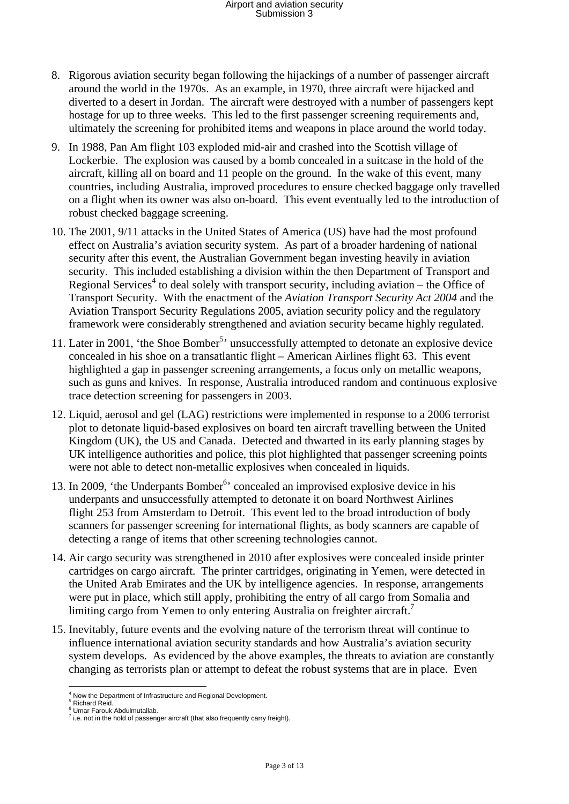- 8. Rigorous aviation security began following the hijackings of a number of passenger aircraft around the world in the 1970s. As an example, in 1970, three aircraft were hijacked and diverted to a desert in Jordan. The aircraft were destroyed with a number of passengers kept hostage for up to three weeks. This led to the first passenger screening requirements and, ultimately the screening for prohibited items and weapons in place around the world today.
- 9. In 1988, Pan Am flight 103 exploded mid-air and crashed into the Scottish village of Lockerbie. The explosion was caused by a bomb concealed in a suitcase in the hold of the aircraft, killing all on board and 11 people on the ground. In the wake of this event, many countries, including Australia, improved procedures to ensure checked baggage only travelled on a flight when its owner was also on-board. This event eventually led to the introduction of robust checked baggage screening.
- 10. The 2001, 9/11 attacks in the United States of America (US) have had the most profound effect on Australia's aviation security system. As part of a broader hardening of national security after this event, the Australian Government began investing heavily in aviation security. This included establishing a division within the then Department of Transport and Regional Services<sup>4</sup> to deal solely with transport security, including aviation – the Office of Transport Security. With the enactment of the *Aviation Transport Security Act 2004* and the Aviation Transport Security Regulations 2005, aviation security policy and the regulatory framework were considerably strengthened and aviation security became highly regulated.
- 11. Later in 2001, 'the Shoe Bomber<sup>5,</sup> unsuccessfully attempted to detonate an explosive device concealed in his shoe on a transatlantic flight – American Airlines flight 63. This event highlighted a gap in passenger screening arrangements, a focus only on metallic weapons, such as guns and knives. In response, Australia introduced random and continuous explosive trace detection screening for passengers in 2003.
- 12. Liquid, aerosol and gel (LAG) restrictions were implemented in response to a 2006 terrorist plot to detonate liquid-based explosives on board ten aircraft travelling between the United Kingdom (UK), the US and Canada. Detected and thwarted in its early planning stages by UK intelligence authorities and police, this plot highlighted that passenger screening points were not able to detect non-metallic explosives when concealed in liquids.
- 13. In 2009, 'the Underpants Bomber<sup>6</sup>' concealed an improvised explosive device in his underpants and unsuccessfully attempted to detonate it on board Northwest Airlines flight 253 from Amsterdam to Detroit. This event led to the broad introduction of body scanners for passenger screening for international flights, as body scanners are capable of detecting a range of items that other screening technologies cannot.
- 14. Air cargo security was strengthened in 2010 after explosives were concealed inside printer cartridges on cargo aircraft. The printer cartridges, originating in Yemen, were detected in the United Arab Emirates and the UK by intelligence agencies. In response, arrangements were put in place, which still apply, prohibiting the entry of all cargo from Somalia and limiting cargo from Yemen to only entering Australia on freighter aircraft.<sup>7</sup>
- 15. Inevitably, future events and the evolving nature of the terrorism threat will continue to influence international aviation security standards and how Australia's aviation security system develops. As evidenced by the above examples, the threats to aviation are constantly changing as terrorists plan or attempt to defeat the robust systems that are in place. Even

 4 Now the Department of Infrastructure and Regional Development. 5 Richard Reid.

<sup>6</sup> Umar Farouk Abdulmutallab.

 $<sup>7</sup>$  i.e. not in the hold of passenger aircraft (that also frequently carry freight).</sup>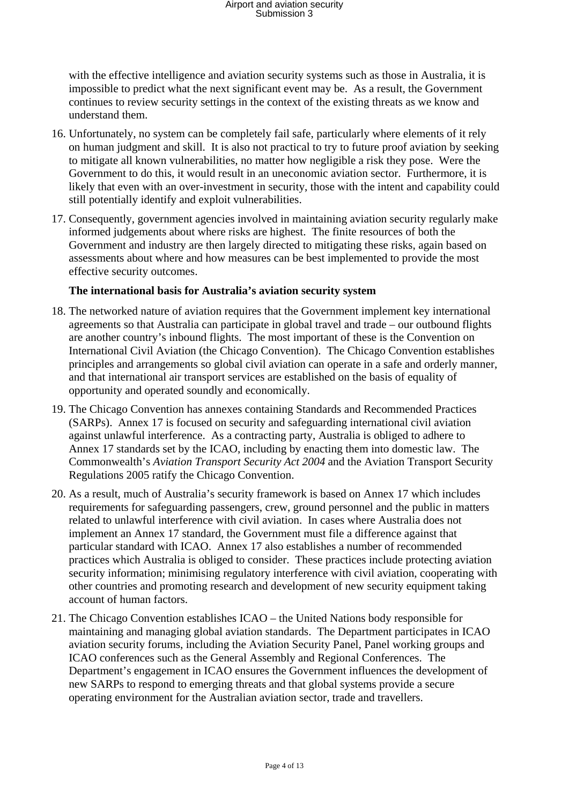with the effective intelligence and aviation security systems such as those in Australia, it is impossible to predict what the next significant event may be. As a result, the Government continues to review security settings in the context of the existing threats as we know and understand them.

- 16. Unfortunately, no system can be completely fail safe, particularly where elements of it rely on human judgment and skill. It is also not practical to try to future proof aviation by seeking to mitigate all known vulnerabilities, no matter how negligible a risk they pose. Were the Government to do this, it would result in an uneconomic aviation sector. Furthermore, it is likely that even with an over-investment in security, those with the intent and capability could still potentially identify and exploit vulnerabilities.
- 17. Consequently, government agencies involved in maintaining aviation security regularly make informed judgements about where risks are highest. The finite resources of both the Government and industry are then largely directed to mitigating these risks, again based on assessments about where and how measures can be best implemented to provide the most effective security outcomes.

### **The international basis for Australia's aviation security system**

- 18. The networked nature of aviation requires that the Government implement key international agreements so that Australia can participate in global travel and trade – our outbound flights are another country's inbound flights. The most important of these is the Convention on International Civil Aviation (the Chicago Convention). The Chicago Convention establishes principles and arrangements so global civil aviation can operate in a safe and orderly manner, and that international air transport services are established on the basis of equality of opportunity and operated soundly and economically.
- 19. The Chicago Convention has annexes containing Standards and Recommended Practices (SARPs). Annex 17 is focused on security and safeguarding international civil aviation against unlawful interference. As a contracting party, Australia is obliged to adhere to Annex 17 standards set by the ICAO, including by enacting them into domestic law. The Commonwealth's *Aviation Transport Security Act 2004* and the Aviation Transport Security Regulations 2005 ratify the Chicago Convention.
- 20. As a result, much of Australia's security framework is based on Annex 17 which includes requirements for safeguarding passengers, crew, ground personnel and the public in matters related to unlawful interference with civil aviation. In cases where Australia does not implement an Annex 17 standard, the Government must file a difference against that particular standard with ICAO. Annex 17 also establishes a number of recommended practices which Australia is obliged to consider. These practices include protecting aviation security information; minimising regulatory interference with civil aviation, cooperating with other countries and promoting research and development of new security equipment taking account of human factors.
- 21. The Chicago Convention establishes ICAO the United Nations body responsible for maintaining and managing global aviation standards. The Department participates in ICAO aviation security forums, including the Aviation Security Panel, Panel working groups and ICAO conferences such as the General Assembly and Regional Conferences. The Department's engagement in ICAO ensures the Government influences the development of new SARPs to respond to emerging threats and that global systems provide a secure operating environment for the Australian aviation sector, trade and travellers.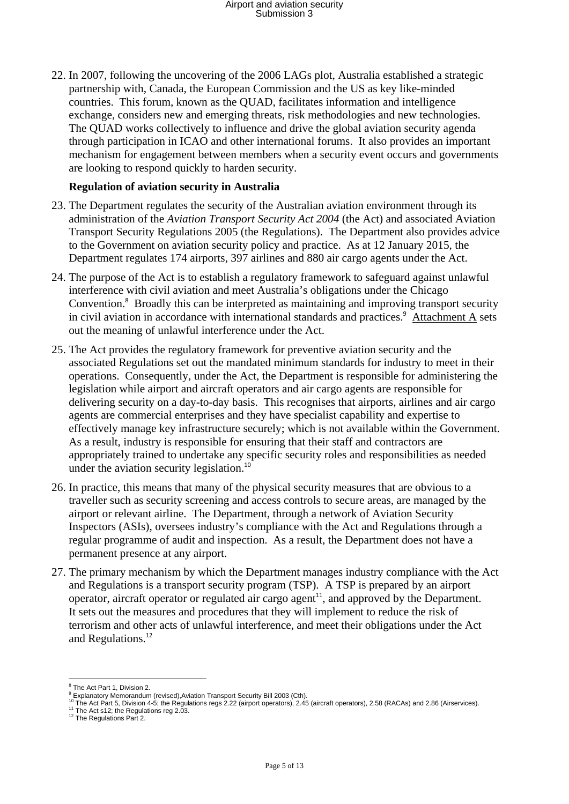22. In 2007, following the uncovering of the 2006 LAGs plot, Australia established a strategic partnership with, Canada, the European Commission and the US as key like-minded countries. This forum, known as the QUAD, facilitates information and intelligence exchange, considers new and emerging threats, risk methodologies and new technologies. The QUAD works collectively to influence and drive the global aviation security agenda through participation in ICAO and other international forums. It also provides an important mechanism for engagement between members when a security event occurs and governments are looking to respond quickly to harden security.

### **Regulation of aviation security in Australia**

- 23. The Department regulates the security of the Australian aviation environment through its administration of the *Aviation Transport Security Act 2004* (the Act) and associated Aviation Transport Security Regulations 2005 (the Regulations). The Department also provides advice to the Government on aviation security policy and practice. As at 12 January 2015, the Department regulates 174 airports, 397 airlines and 880 air cargo agents under the Act.
- 24. The purpose of the Act is to establish a regulatory framework to safeguard against unlawful interference with civil aviation and meet Australia's obligations under the Chicago Convention.<sup>8</sup> Broadly this can be interpreted as maintaining and improving transport security in civil aviation in accordance with international standards and practices.<sup>9</sup> Attachment A sets out the meaning of unlawful interference under the Act.
- 25. The Act provides the regulatory framework for preventive aviation security and the associated Regulations set out the mandated minimum standards for industry to meet in their operations. Consequently, under the Act, the Department is responsible for administering the legislation while airport and aircraft operators and air cargo agents are responsible for delivering security on a day-to-day basis. This recognises that airports, airlines and air cargo agents are commercial enterprises and they have specialist capability and expertise to effectively manage key infrastructure securely; which is not available within the Government. As a result, industry is responsible for ensuring that their staff and contractors are appropriately trained to undertake any specific security roles and responsibilities as needed under the aviation security legislation.<sup>10</sup>
- 26. In practice, this means that many of the physical security measures that are obvious to a traveller such as security screening and access controls to secure areas, are managed by the airport or relevant airline. The Department, through a network of Aviation Security Inspectors (ASIs), oversees industry's compliance with the Act and Regulations through a regular programme of audit and inspection. As a result, the Department does not have a permanent presence at any airport.
- 27. The primary mechanism by which the Department manages industry compliance with the Act and Regulations is a transport security program (TSP). A TSP is prepared by an airport operator, aircraft operator or regulated air cargo agent<sup>11</sup>, and approved by the Department. It sets out the measures and procedures that they will implement to reduce the risk of terrorism and other acts of unlawful interference, and meet their obligations under the Act and Regulations.<sup>12</sup>

 <sup>8</sup> The Act Part 1 Division 2

<sup>&</sup>lt;sup>8</sup> The Act Part 1, Division 2.<br><sup>9</sup> Explanatory Memorandum (revised),Aviation Transport Security Bill 2003 (Cth).<br><sup>10</sup> The Act Part 5, Division 4-5; the Regulations regs 2.22 (airport operators), 2.45 (aircraft operators),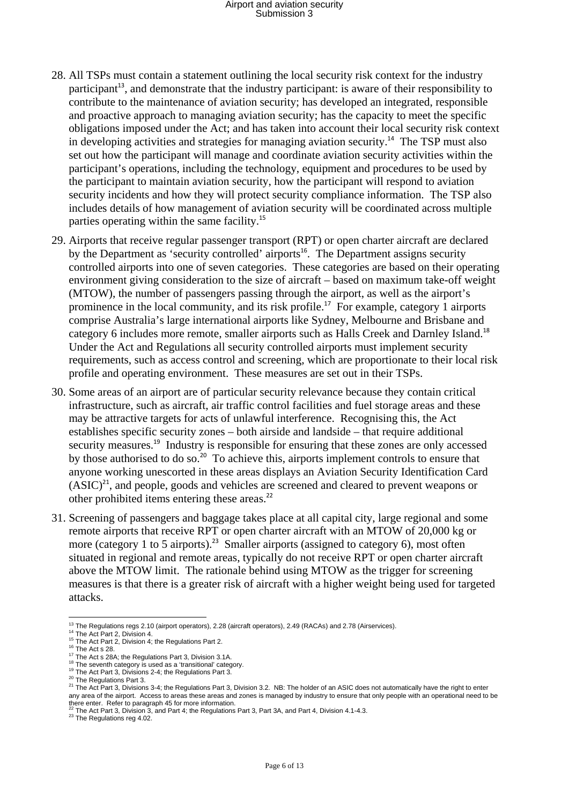- 28. All TSPs must contain a statement outlining the local security risk context for the industry participant<sup>13</sup>, and demonstrate that the industry participant: is aware of their responsibility to contribute to the maintenance of aviation security; has developed an integrated, responsible and proactive approach to managing aviation security; has the capacity to meet the specific obligations imposed under the Act; and has taken into account their local security risk context in developing activities and strategies for managing aviation security.<sup>14</sup> The TSP must also set out how the participant will manage and coordinate aviation security activities within the participant's operations, including the technology, equipment and procedures to be used by the participant to maintain aviation security, how the participant will respond to aviation security incidents and how they will protect security compliance information. The TSP also includes details of how management of aviation security will be coordinated across multiple parties operating within the same facility.<sup>15</sup>
- 29. Airports that receive regular passenger transport (RPT) or open charter aircraft are declared by the Department as 'security controlled' airports<sup>16</sup>. The Department assigns security controlled airports into one of seven categories. These categories are based on their operating environment giving consideration to the size of aircraft – based on maximum take-off weight (MTOW), the number of passengers passing through the airport, as well as the airport's prominence in the local community, and its risk profile.<sup>17</sup> For example, category 1 airports comprise Australia's large international airports like Sydney, Melbourne and Brisbane and category 6 includes more remote, smaller airports such as Halls Creek and Darnley Island.<sup>18</sup> Under the Act and Regulations all security controlled airports must implement security requirements, such as access control and screening, which are proportionate to their local risk profile and operating environment. These measures are set out in their TSPs.
- 30. Some areas of an airport are of particular security relevance because they contain critical infrastructure, such as aircraft, air traffic control facilities and fuel storage areas and these may be attractive targets for acts of unlawful interference. Recognising this, the Act establishes specific security zones – both airside and landside – that require additional security measures.<sup>19</sup> Industry is responsible for ensuring that these zones are only accessed by those authorised to do so.<sup>20</sup> To achieve this, airports implement controls to ensure that anyone working unescorted in these areas displays an Aviation Security Identification Card  $(ASIC)^{21}$ , and people, goods and vehicles are screened and cleared to prevent weapons or other prohibited items entering these areas.<sup>22</sup>
- 31. Screening of passengers and baggage takes place at all capital city, large regional and some remote airports that receive RPT or open charter aircraft with an MTOW of 20,000 kg or more (category 1 to 5 airports).<sup>23</sup> Smaller airports (assigned to category 6), most often situated in regional and remote areas, typically do not receive RPT or open charter aircraft above the MTOW limit. The rationale behind using MTOW as the trigger for screening measures is that there is a greater risk of aircraft with a higher weight being used for targeted attacks.

<sup>&</sup>lt;sup>13</sup> The Regulations regs 2.10 (airport operators), 2.28 (aircraft operators), 2.49 (RACAs) and 2.78 (Airservices).

<sup>&</sup>lt;sup>14</sup> The Act Part 2, Division 4,<br>
<sup>15</sup> The Act Part 2, Division 4, the Regulations Part 2.<br>
<sup>15</sup> The Act Part 2, Division 4; the Regulations Part 3, Division 3.1A.<br>
<sup>17</sup> The Act S 28A; the Regulations Part 3, Division 3.1 any area of the airport. Access to areas these areas and zones is managed by industry to ensure that only people with an operational need to be there enter. Refer to paragraph 45 for more information.

<sup>22</sup> The Act Part 3, Division 3, and Part 4; the Regulations Part 3, Part 3A, and Part 4, Division 4.1-4.3. <sup>23</sup> The Regulations reg 4.02.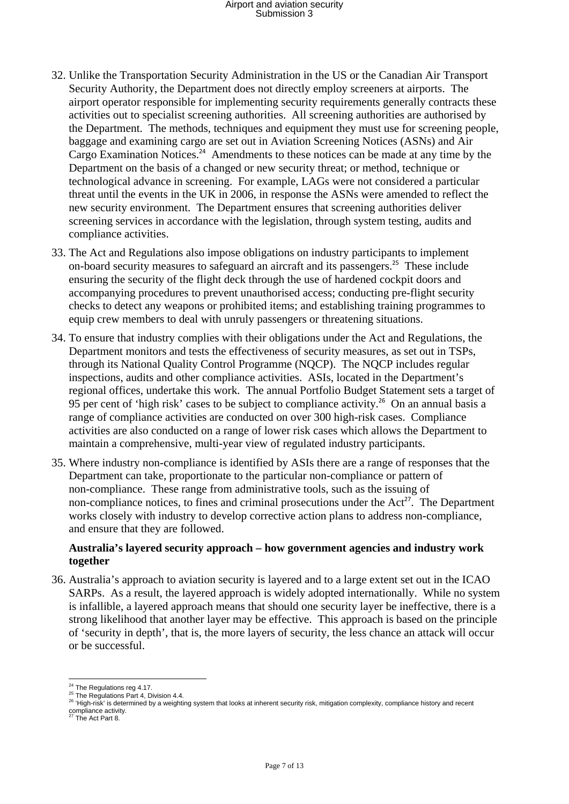- 32. Unlike the Transportation Security Administration in the US or the Canadian Air Transport Security Authority, the Department does not directly employ screeners at airports. The airport operator responsible for implementing security requirements generally contracts these activities out to specialist screening authorities. All screening authorities are authorised by the Department. The methods, techniques and equipment they must use for screening people, baggage and examining cargo are set out in Aviation Screening Notices (ASNs) and Air Cargo Examination Notices.<sup>24</sup> Amendments to these notices can be made at any time by the Department on the basis of a changed or new security threat; or method, technique or technological advance in screening. For example, LAGs were not considered a particular threat until the events in the UK in 2006, in response the ASNs were amended to reflect the new security environment. The Department ensures that screening authorities deliver screening services in accordance with the legislation, through system testing, audits and compliance activities.
- 33. The Act and Regulations also impose obligations on industry participants to implement on-board security measures to safeguard an aircraft and its passengers.<sup>25</sup> These include ensuring the security of the flight deck through the use of hardened cockpit doors and accompanying procedures to prevent unauthorised access; conducting pre-flight security checks to detect any weapons or prohibited items; and establishing training programmes to equip crew members to deal with unruly passengers or threatening situations.
- 34. To ensure that industry complies with their obligations under the Act and Regulations, the Department monitors and tests the effectiveness of security measures, as set out in TSPs, through its National Quality Control Programme (NQCP). The NQCP includes regular inspections, audits and other compliance activities. ASIs, located in the Department's regional offices, undertake this work. The annual Portfolio Budget Statement sets a target of 95 per cent of 'high risk' cases to be subject to compliance activity.<sup>26</sup> On an annual basis a range of compliance activities are conducted on over 300 high-risk cases. Compliance activities are also conducted on a range of lower risk cases which allows the Department to maintain a comprehensive, multi-year view of regulated industry participants.
- 35. Where industry non-compliance is identified by ASIs there are a range of responses that the Department can take, proportionate to the particular non-compliance or pattern of non-compliance. These range from administrative tools, such as the issuing of non-compliance notices, to fines and criminal prosecutions under the  $Act^{27}$ . The Department works closely with industry to develop corrective action plans to address non-compliance, and ensure that they are followed.

#### **Australia's layered security approach – how government agencies and industry work together**

36. Australia's approach to aviation security is layered and to a large extent set out in the ICAO SARPs. As a result, the layered approach is widely adopted internationally. While no system is infallible, a layered approach means that should one security layer be ineffective, there is a strong likelihood that another layer may be effective. This approach is based on the principle of 'security in depth', that is, the more layers of security, the less chance an attack will occur or be successful.

<sup>&</sup>lt;sup>24</sup> The Regulations reg 4.17.<br><sup>25</sup> The Regulations Part 4, Division 4.4.<br><sup>26</sup> 'High-risk' is determined by a weighting system that looks at inherent security risk, mitigation complexity, compliance history and recent compliance activity. 27 The Act Part 8.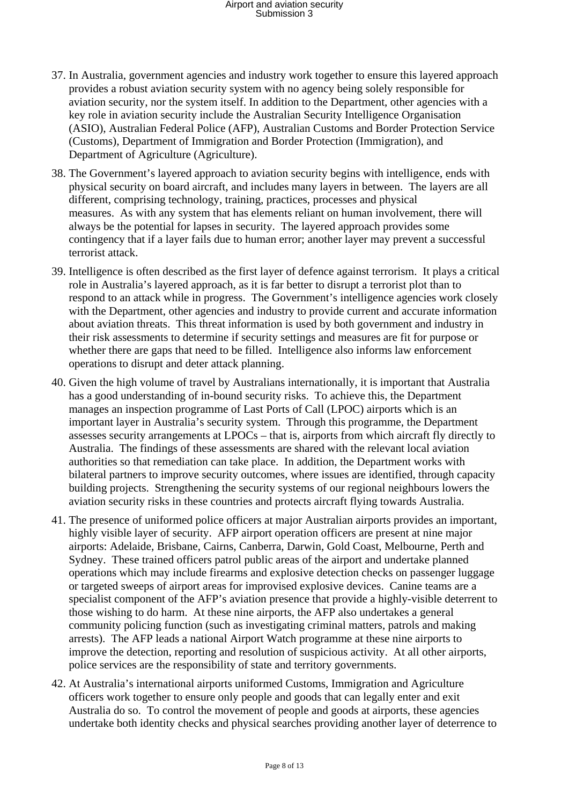- 37. In Australia, government agencies and industry work together to ensure this layered approach provides a robust aviation security system with no agency being solely responsible for aviation security, nor the system itself. In addition to the Department, other agencies with a key role in aviation security include the Australian Security Intelligence Organisation (ASIO), Australian Federal Police (AFP), Australian Customs and Border Protection Service (Customs), Department of Immigration and Border Protection (Immigration), and Department of Agriculture (Agriculture).
- 38. The Government's layered approach to aviation security begins with intelligence, ends with physical security on board aircraft, and includes many layers in between. The layers are all different, comprising technology, training, practices, processes and physical measures. As with any system that has elements reliant on human involvement, there will always be the potential for lapses in security. The layered approach provides some contingency that if a layer fails due to human error; another layer may prevent a successful terrorist attack.
- 39. Intelligence is often described as the first layer of defence against terrorism. It plays a critical role in Australia's layered approach, as it is far better to disrupt a terrorist plot than to respond to an attack while in progress. The Government's intelligence agencies work closely with the Department, other agencies and industry to provide current and accurate information about aviation threats. This threat information is used by both government and industry in their risk assessments to determine if security settings and measures are fit for purpose or whether there are gaps that need to be filled. Intelligence also informs law enforcement operations to disrupt and deter attack planning.
- 40. Given the high volume of travel by Australians internationally, it is important that Australia has a good understanding of in-bound security risks. To achieve this, the Department manages an inspection programme of Last Ports of Call (LPOC) airports which is an important layer in Australia's security system. Through this programme, the Department assesses security arrangements at LPOCs – that is, airports from which aircraft fly directly to Australia. The findings of these assessments are shared with the relevant local aviation authorities so that remediation can take place. In addition, the Department works with bilateral partners to improve security outcomes, where issues are identified, through capacity building projects. Strengthening the security systems of our regional neighbours lowers the aviation security risks in these countries and protects aircraft flying towards Australia.
- 41. The presence of uniformed police officers at major Australian airports provides an important, highly visible layer of security. AFP airport operation officers are present at nine major airports: Adelaide, Brisbane, Cairns, Canberra, Darwin, Gold Coast, Melbourne, Perth and Sydney. These trained officers patrol public areas of the airport and undertake planned operations which may include firearms and explosive detection checks on passenger luggage or targeted sweeps of airport areas for improvised explosive devices. Canine teams are a specialist component of the AFP's aviation presence that provide a highly-visible deterrent to those wishing to do harm. At these nine airports, the AFP also undertakes a general community policing function (such as investigating criminal matters, patrols and making arrests). The AFP leads a national Airport Watch programme at these nine airports to improve the detection, reporting and resolution of suspicious activity. At all other airports, police services are the responsibility of state and territory governments.
- 42. At Australia's international airports uniformed Customs, Immigration and Agriculture officers work together to ensure only people and goods that can legally enter and exit Australia do so. To control the movement of people and goods at airports, these agencies undertake both identity checks and physical searches providing another layer of deterrence to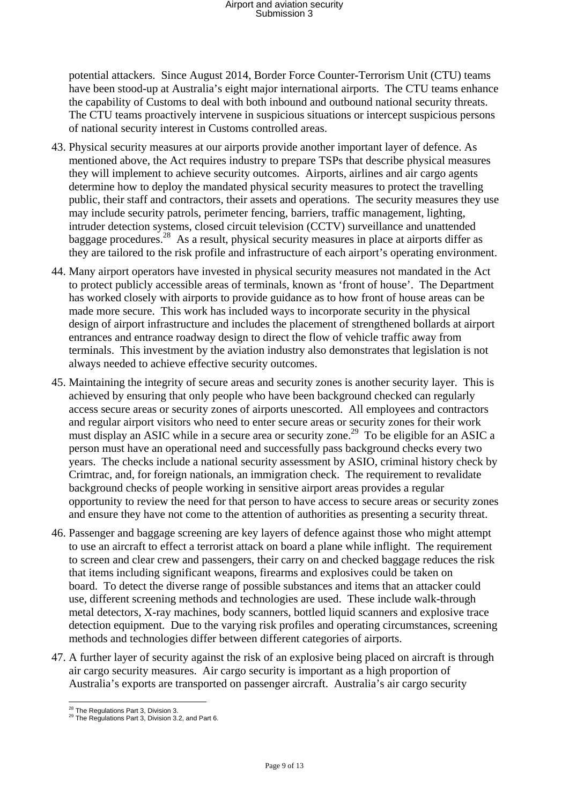potential attackers. Since August 2014, Border Force Counter-Terrorism Unit (CTU) teams have been stood-up at Australia's eight major international airports. The CTU teams enhance the capability of Customs to deal with both inbound and outbound national security threats. The CTU teams proactively intervene in suspicious situations or intercept suspicious persons of national security interest in Customs controlled areas.

- 43. Physical security measures at our airports provide another important layer of defence. As mentioned above, the Act requires industry to prepare TSPs that describe physical measures they will implement to achieve security outcomes. Airports, airlines and air cargo agents determine how to deploy the mandated physical security measures to protect the travelling public, their staff and contractors, their assets and operations. The security measures they use may include security patrols, perimeter fencing, barriers, traffic management, lighting, intruder detection systems, closed circuit television (CCTV) surveillance and unattended baggage procedures.28 As a result, physical security measures in place at airports differ as they are tailored to the risk profile and infrastructure of each airport's operating environment.
- 44. Many airport operators have invested in physical security measures not mandated in the Act to protect publicly accessible areas of terminals, known as 'front of house'. The Department has worked closely with airports to provide guidance as to how front of house areas can be made more secure. This work has included ways to incorporate security in the physical design of airport infrastructure and includes the placement of strengthened bollards at airport entrances and entrance roadway design to direct the flow of vehicle traffic away from terminals. This investment by the aviation industry also demonstrates that legislation is not always needed to achieve effective security outcomes.
- 45. Maintaining the integrity of secure areas and security zones is another security layer. This is achieved by ensuring that only people who have been background checked can regularly access secure areas or security zones of airports unescorted. All employees and contractors and regular airport visitors who need to enter secure areas or security zones for their work must display an ASIC while in a secure area or security zone.<sup>29</sup> To be eligible for an ASIC a person must have an operational need and successfully pass background checks every two years. The checks include a national security assessment by ASIO, criminal history check by Crimtrac, and, for foreign nationals, an immigration check. The requirement to revalidate background checks of people working in sensitive airport areas provides a regular opportunity to review the need for that person to have access to secure areas or security zones and ensure they have not come to the attention of authorities as presenting a security threat.
- 46. Passenger and baggage screening are key layers of defence against those who might attempt to use an aircraft to effect a terrorist attack on board a plane while inflight. The requirement to screen and clear crew and passengers, their carry on and checked baggage reduces the risk that items including significant weapons, firearms and explosives could be taken on board. To detect the diverse range of possible substances and items that an attacker could use, different screening methods and technologies are used. These include walk-through metal detectors, X-ray machines, body scanners, bottled liquid scanners and explosive trace detection equipment. Due to the varying risk profiles and operating circumstances, screening methods and technologies differ between different categories of airports.
- 47. A further layer of security against the risk of an explosive being placed on aircraft is through air cargo security measures. Air cargo security is important as a high proportion of Australia's exports are transported on passenger aircraft. Australia's air cargo security

 $^{28}$  The Regulations Part 3, Division 3.<br><sup>29</sup> The Regulations Part 3, Division 3.2, and Part 6.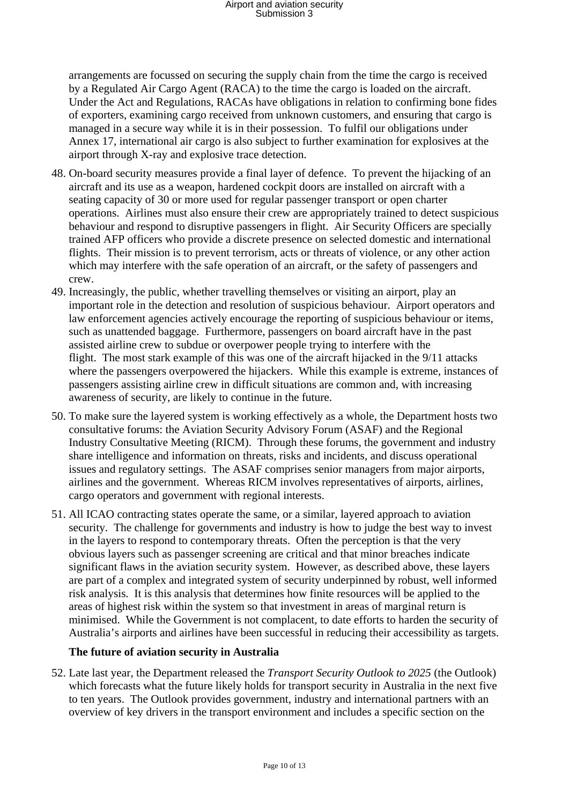arrangements are focussed on securing the supply chain from the time the cargo is received by a Regulated Air Cargo Agent (RACA) to the time the cargo is loaded on the aircraft. Under the Act and Regulations, RACAs have obligations in relation to confirming bone fides of exporters, examining cargo received from unknown customers, and ensuring that cargo is managed in a secure way while it is in their possession. To fulfil our obligations under Annex 17, international air cargo is also subject to further examination for explosives at the airport through X-ray and explosive trace detection.

- 48. On-board security measures provide a final layer of defence. To prevent the hijacking of an aircraft and its use as a weapon, hardened cockpit doors are installed on aircraft with a seating capacity of 30 or more used for regular passenger transport or open charter operations. Airlines must also ensure their crew are appropriately trained to detect suspicious behaviour and respond to disruptive passengers in flight. Air Security Officers are specially trained AFP officers who provide a discrete presence on selected domestic and international flights. Their mission is to prevent terrorism, acts or threats of violence, or any other action which may interfere with the safe operation of an aircraft, or the safety of passengers and crew.
- 49. Increasingly, the public, whether travelling themselves or visiting an airport, play an important role in the detection and resolution of suspicious behaviour. Airport operators and law enforcement agencies actively encourage the reporting of suspicious behaviour or items, such as unattended baggage. Furthermore, passengers on board aircraft have in the past assisted airline crew to subdue or overpower people trying to interfere with the flight. The most stark example of this was one of the aircraft hijacked in the 9/11 attacks where the passengers overpowered the hijackers. While this example is extreme, instances of passengers assisting airline crew in difficult situations are common and, with increasing awareness of security, are likely to continue in the future.
- 50. To make sure the layered system is working effectively as a whole, the Department hosts two consultative forums: the Aviation Security Advisory Forum (ASAF) and the Regional Industry Consultative Meeting (RICM). Through these forums, the government and industry share intelligence and information on threats, risks and incidents, and discuss operational issues and regulatory settings. The ASAF comprises senior managers from major airports, airlines and the government. Whereas RICM involves representatives of airports, airlines, cargo operators and government with regional interests.
- 51. All ICAO contracting states operate the same, or a similar, layered approach to aviation security. The challenge for governments and industry is how to judge the best way to invest in the layers to respond to contemporary threats. Often the perception is that the very obvious layers such as passenger screening are critical and that minor breaches indicate significant flaws in the aviation security system. However, as described above, these layers are part of a complex and integrated system of security underpinned by robust, well informed risk analysis. It is this analysis that determines how finite resources will be applied to the areas of highest risk within the system so that investment in areas of marginal return is minimised. While the Government is not complacent, to date efforts to harden the security of Australia's airports and airlines have been successful in reducing their accessibility as targets.

### **The future of aviation security in Australia**

52. Late last year, the Department released the *Transport Security Outlook to 2025* (the Outlook) which forecasts what the future likely holds for transport security in Australia in the next five to ten years. The Outlook provides government, industry and international partners with an overview of key drivers in the transport environment and includes a specific section on the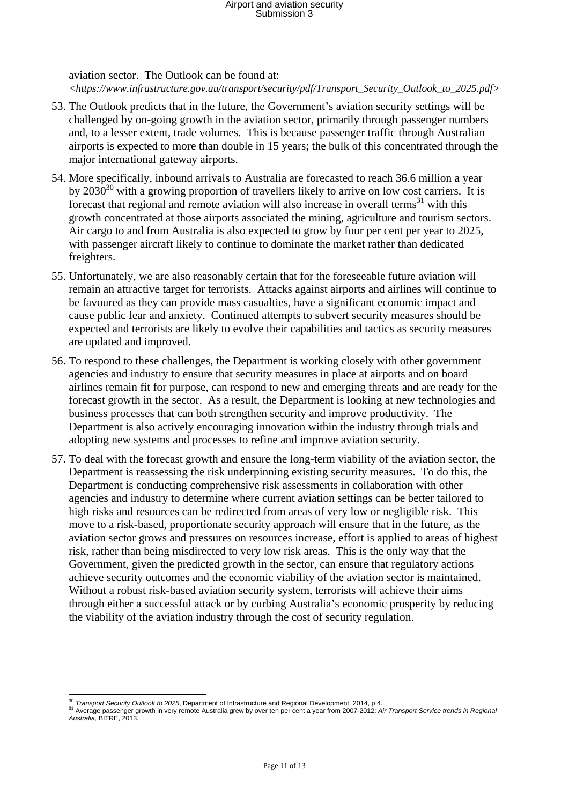aviation sector. The Outlook can be found at: *<https://www.infrastructure.gov.au/transport/security/pdf/Transport\_Security\_Outlook\_to\_2025.pdf>*

- 53. The Outlook predicts that in the future, the Government's aviation security settings will be challenged by on-going growth in the aviation sector, primarily through passenger numbers and, to a lesser extent, trade volumes. This is because passenger traffic through Australian airports is expected to more than double in 15 years; the bulk of this concentrated through the major international gateway airports.
- 54. More specifically, inbound arrivals to Australia are forecasted to reach 36.6 million a year by  $2030^{30}$  with a growing proportion of travellers likely to arrive on low cost carriers. It is forecast that regional and remote aviation will also increase in overall terms<sup>31</sup> with this growth concentrated at those airports associated the mining, agriculture and tourism sectors. Air cargo to and from Australia is also expected to grow by four per cent per year to 2025, with passenger aircraft likely to continue to dominate the market rather than dedicated freighters.
- 55. Unfortunately, we are also reasonably certain that for the foreseeable future aviation will remain an attractive target for terrorists. Attacks against airports and airlines will continue to be favoured as they can provide mass casualties, have a significant economic impact and cause public fear and anxiety. Continued attempts to subvert security measures should be expected and terrorists are likely to evolve their capabilities and tactics as security measures are updated and improved.
- 56. To respond to these challenges, the Department is working closely with other government agencies and industry to ensure that security measures in place at airports and on board airlines remain fit for purpose, can respond to new and emerging threats and are ready for the forecast growth in the sector. As a result, the Department is looking at new technologies and business processes that can both strengthen security and improve productivity. The Department is also actively encouraging innovation within the industry through trials and adopting new systems and processes to refine and improve aviation security.
- 57. To deal with the forecast growth and ensure the long-term viability of the aviation sector, the Department is reassessing the risk underpinning existing security measures. To do this, the Department is conducting comprehensive risk assessments in collaboration with other agencies and industry to determine where current aviation settings can be better tailored to high risks and resources can be redirected from areas of very low or negligible risk. This move to a risk-based, proportionate security approach will ensure that in the future, as the aviation sector grows and pressures on resources increase, effort is applied to areas of highest risk, rather than being misdirected to very low risk areas. This is the only way that the Government, given the predicted growth in the sector, can ensure that regulatory actions achieve security outcomes and the economic viability of the aviation sector is maintained. Without a robust risk-based aviation security system, terrorists will achieve their aims through either a successful attack or by curbing Australia's economic prosperity by reducing the viability of the aviation industry through the cost of security regulation.

<sup>&</sup>lt;sup>30</sup> Transport Security Outlook to 2025. Department of Infrastructure and Regional Development. 2014. p 4.

 $\frac{1}{3!}$  Nerage passenger growth in very remote Australia grew by over ten per cent a year from 2007-2012: Air Transport Service trends in Regional *Australia,* BITRE, 2013.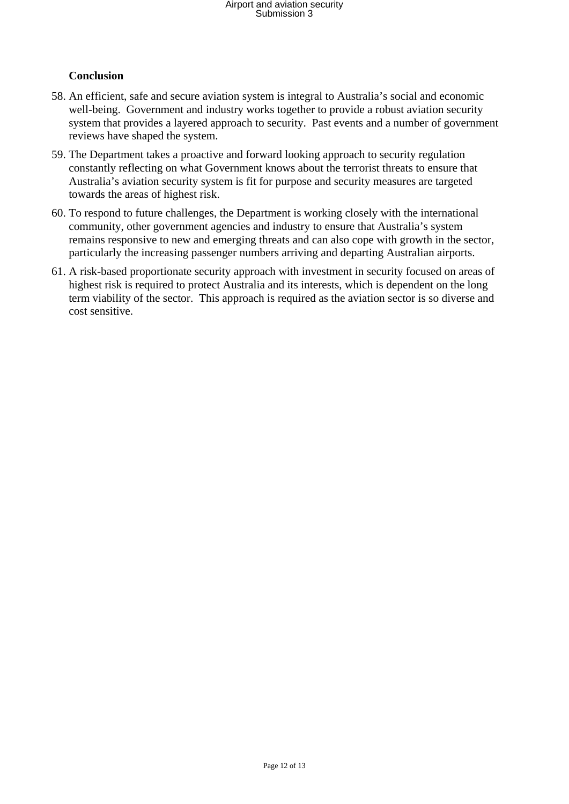### **Conclusion**

- 58. An efficient, safe and secure aviation system is integral to Australia's social and economic well-being. Government and industry works together to provide a robust aviation security system that provides a layered approach to security. Past events and a number of government reviews have shaped the system.
- 59. The Department takes a proactive and forward looking approach to security regulation constantly reflecting on what Government knows about the terrorist threats to ensure that Australia's aviation security system is fit for purpose and security measures are targeted towards the areas of highest risk.
- 60. To respond to future challenges, the Department is working closely with the international community, other government agencies and industry to ensure that Australia's system remains responsive to new and emerging threats and can also cope with growth in the sector, particularly the increasing passenger numbers arriving and departing Australian airports.
- 61. A risk-based proportionate security approach with investment in security focused on areas of highest risk is required to protect Australia and its interests, which is dependent on the long term viability of the sector. This approach is required as the aviation sector is so diverse and cost sensitive.